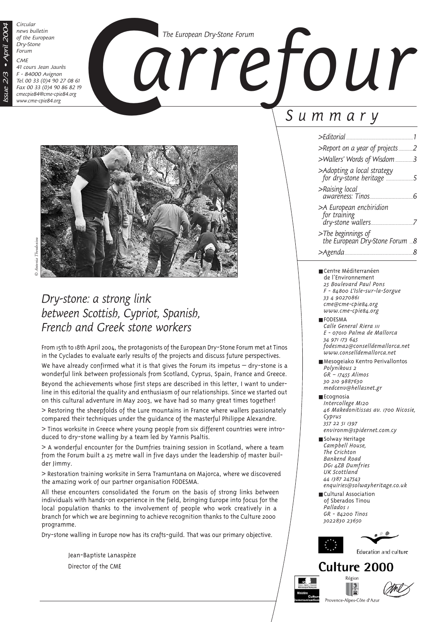*Circular news bulletin of the European Dry-Stone Forum*

*CME*

*Issue 2/3 • April 2004*

ssue 2/3

 $-Apri$  200

*41 cours Jean Jaurès F - 84000 Avignon Tel. 00 33 (0)4 90 27 08 61 Fax 00 33 (0)4 90 86 82 19 cmecpie84@cme-cpie84.org www.cme-cpie84.org*





# *Dry-stone: a strong link between Scottish, Cypriot, Spanish, French and Greek stone workers*

From 15th to 18th April 2004, the protagonists of the European Dry-Stone Forum met at Tinos in the Cyclades to evaluate early results of the projects and discuss future perspectives.

We have already confirmed what it is that gives the Forum its impetus  $-$  dry-stone is a wonderful link between professionals from Scotland, Cyprus, Spain, France and Greece.

Beyond the achievements whose first steps are described in this letter, I want to underline in this editorial the quality and enthusiasm of our relationships. Since we started out on this cultural adventure in May 2003, we have had so many great times together!

> Restoring the sheepfolds of the Lure mountains in France where wallers passionately compared their techniques under the guidance of the masterful Philippe Alexandre.

> Tinos worksite in Greece where young people from six different countries were introduced to dry-stone walling by a team led by Yannis Psaltis.

> A wonderful encounter for the Dumfries training session in Scotland, where a team from the Forum built a 25 metre wall in five days under the leadership of master builder Jimmy.

> Restoration training worksite in Serra Tramuntana on Majorca, where we discovered the amazing work of our partner organisation FODESMA.

All these encounters consolidated the Forum on the basis of strong links between individuals with hands-on experience in the field, bringing Europe into focus for the local population thanks to the involvement of people who work creatively in a branch for which we are beginning to achieve recognition thanks to the Culture 2000 programme.

Dry-stone walling in Europe now has its crafts-guild. That was our primary objective.

Jean-Baptiste Lanaspèze Director of the CME

# *Summary*

| >Fditorial                                                   |  |
|--------------------------------------------------------------|--|
| >Report on a year of projects                                |  |
| >Wallers' Words of Wisdom 3                                  |  |
| >Adopting a local strategy                                   |  |
| >Raising local<br>awareness: Tinos                           |  |
| >A European enchiridion<br>for training<br>dry-stone wallers |  |
| >The beginnings of<br>the European Dry-Stone Forum 8         |  |
| >Agenda<br>                                                  |  |

- Centre Méditerranéen de l'Environnement *25 Boulevard Paul Pons F - 84800 L'Isle-sur-la-Sorgue 33 4 90270861 cme@cme-cpie84.org www.cme-cpie84.org*
- FODESMA *Calle General Riera 111 E - 07010 Palma de Mallorca 34 971 173 645 fodesma2@conselldemallorca.net www.conselldemallorca.net*
- Mesogeiako Kentro Perivallontos *Polynikous 2 GR – 17455 Alimos 30 210 9887630 medcenv@hellasnet.gr*
- Ecognosia *Intercollege M120 46 Makedonitissas av. 1700 Nicosie, Cyprus 357 22 51 1397 environm@spidernet.com.cy*
- Solway Heritage *Campbell House, The Crichton Bankend Road DG1 4ZB Dumfries UK Scottland 44 1387 247543 enquiries@solwayheritage.co.uk*
- Cultural Association of Sberados Tinou *Pallados 1 GR - 84200 Tinos 3022830 23650*



# Culture 2000 Région



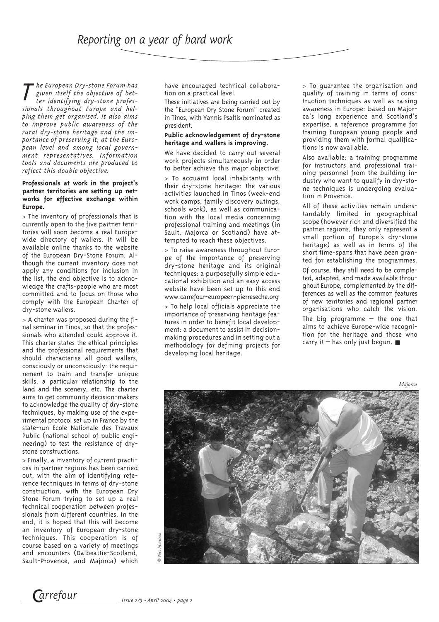*T he European Dry-stone Forum has given itself the objective of better identifying dry-stone professionals throughout Europe and helping them get organised. It also aims to improve public awareness of the rural dry-stone heritage and the importance of preserving it, at the European level and among local government representatives. Information tools and documents are produced to reflect this double objective.*

#### **Professionals at work in the project's partner territories are setting up networks for effective exchange within Europe.**

> The inventory of professionals that is currently open to the five partner territories will soon become a real Europewide directory of wallers. It will be available online thanks to the website of the European Dry-Stone Forum. Although the current inventory does not apply any conditions for inclusion in the list, the end objective is to acknowledge the crafts-people who are most committed and to focus on those who comply with the European Charter of dry-stone wallers.

> A charter was proposed during the final seminar in Tinos, so that the professionals who attended could approve it. This charter states the ethical principles and the professional requirements that should characterise all good wallers, consciously or unconsciously: the requirement to train and transfer unique skills, a particular relationship to the land and the scenery, etc. The charter aims to get community decision-makers to acknowledge the quality of dry-stone techniques, by making use of the experimental protocol set up in France by the state-run Ecole Nationale des Travaux Public (national school of public engineering) to test the resistance of drystone constructions.

> Finally, a inventory of current practices in partner regions has been carried out, with the aim of identifying reference techniques in terms of dry-stone construction, with the European Dry Stone Forum trying to set up a real technical cooperation between professionals from different countries. In the end, it is hoped that this will become an inventory of European dry-stone techniques. This cooperation is of course based on a variety of meetings and encounters (Dalbeattie-Scotland, Sault-Provence, and Majorca) which have encouraged technical collaboration on a practical level.

These initiatives are being carried out by the "European Dry Stone Forum" created in Tinos, with Yannis Psaltis nominated as president.

#### **Public acknowledgement of dry-stone heritage and wallers is improving.**

We have decided to carry out several work projects simultaneously in order to better achieve this major objective:

> To acquaint local inhabitants with their dry-stone heritage: the various activities launched in Tinos (week-end work camps, family discovery outings, schools work), as well as communication with the local media concerning professional training and meetings (in Sault, Majorca or Scotland) have attempted to reach these objectives.

> To raise awareness throughout Europe of the importance of preserving dry-stone heritage and its original techniques: a purposefully simple educational exhibition and an easy access website have been set up to this end www.carrefour-europeen-pierreseche.org

> To help local officials appreciate the importance of preserving heritage features in order to benefit local development: a document to assist in decisionmaking procedures and in setting out a methodology for defining projects for developing local heritage.

> To guarantee the organisation and quality of training in terms of construction techniques as well as raising awareness in Europe: based on Majorca's long experience and Scotland's expertise, a reference programme for training European young people and providing them with formal qualifications is now available.

Also available: a training programme for instructors and professional training personnel from the building industry who want to qualify in dry-stone techniques is undergoing evaluation in Provence.

All of these activities remain understandably limited in geographical scope (however rich and diversified the partner regions, they only represent a small portion of Europe's dry-stone heritage) as well as in terms of the short time-spans that have been granted for establishing the programmes.

Of course, they still need to be completed, adapted, and made available throughout Europe, complemented by the differences as well as the common features of new territories and regional partner organisations who catch the vision.

The big programme – the one that aims to achieve Europe-wide recognition for the heritage and those who carry it – has only just begun.  $\blacksquare$ 

*Majorca*



*Carrefour Carrefour Issue 2/3 • April 2004 • page 2*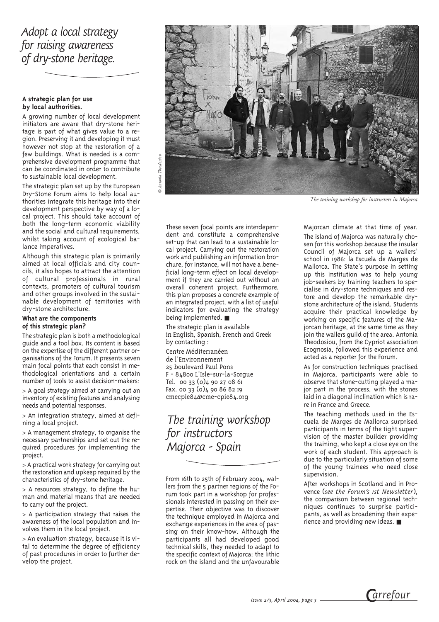## *Adopt a local strategy for raising awareness of dry-stone heritage.*

#### **A strategic plan for use by local authorities.**

A growing number of local development initiators are aware that dry-stone heritage is part of what gives value to a region. Preserving it and developing it must however not stop at the restoration of a few buildings. What is needed is a comprehensive development programme that can be coordinated in order to contribute to sustainable local development.

The strategic plan set up by the European Dry-Stone Forum aims to help local authorities integrate this heritage into their development perspective by way of a local project. This should take account of both the long-term economic viability and the social and cultural requirements, whilst taking account of ecological balance imperatives.

Although this strategic plan is primarily aimed at local officials and city councils, it also hopes to attract the attention of cultural professionals in rural contexts, promoters of cultural tourism and other groups involved in the sustainable development of territories with dry-stone architecture.

#### **What are the components of this strategic plan?**

The strategic plan is both a methodological guide and a tool box. Its content is based on the expertise of the different partner organisations of the Forum. It presents seven main focal points that each consist in methodological orientations and a certain number of tools to assist decision-makers:

> A goal strategy aimed at carrying out an inventory of existing features and analysing needs and potential responses.

> An integration strategy, aimed at defining a local project.

> A management strategy, to organise the necessary partnerships and set out the required procedures for implementing the project.

> A practical work strategy for carrying out the restoration and upkeep required by the characteristics of dry-stone heritage.

> A resources strategy, to define the human and material means that are needed to carry out the project.

> A participation strategy that raises the awareness of the local population and involves them in the local project.

> An evaluation strategy, because it is vital to determine the degree of efficiency of past procedures in order to further develop the project.



*The training workshop for instructors in Majorca* 

These seven focal points are interdependent and constitute a comprehensive set-up that can lead to a sustainable local project. Carrying out the restoration work and publishing an information brochure, for instance, will not have a beneficial long-term effect on local development if they are carried out without an overall coherent project. Furthermore, this plan proposes a concrete example of an integrated project, with a list of useful indicators for evaluating the strategy being implemented. ■

The strategic plan is available in English, Spanish, French and Greek by contacting :

Centre Méditerranéen de l'Environnement 25 boulevard Paul Pons F - 84800 L'Isle-sur-la-Sorgue Tel. 00 33 (0)4 90 27 08 61 Fax. 00 33 (0)4 90 86 82 19 cmecpie84@cme-cpie84.org

*The training workshop for instructors Majorca - Spain*

From 16th to 25th of February 2004, wallers from the 5 partner regions of the Forum took part in a workshop for professionals interested in passing on their expertise. Their objective was to discover the technique employed in Majorca and exchange experiences in the area of passing on their know-how. Although the participants all had developed good technical skills, they needed to adapt to the specific context of Majorca: the lithic rock on the island and the unfavourable

Majorcan climate at that time of year. The island of Majorca was naturally chosen for this workshop because the insular Council of Majorca set up a wallers' school in 1986: la Escuela de Marges de Mallorca. The State's purpose in setting up this institution was to help young job-seekers by training teachers to specialise in dry-stone techniques and restore and develop the remarkable drystone architecture of the island. Students acquire their practical knowledge by working on specific features of the Majorcan heritage, at the same time as they join the wallers guild of the area. Antonia Theodosiou, from the Cypriot association Ecognosia, followed this experience and acted as a reporter for the Forum.

As for construction techniques practised in Majorca, participants were able to observe that stone-cutting played a major part in the process, with the stones laid in a diagonal inclination which is rare in France and Greece.

The teaching methods used in the Escuela de Marges de Mallorca surprised participants in terms of the tight supervision of the master builder providing the training, who kept a close eye on the work of each student. This approach is due to the particularly situation of some of the young trainees who need close supervision.

After workshops in Scotland and in Provence (*see the Forum's 1st Newsletter*), the comparison between regional techniques continues to surprise participants, as well as broadening their experience and providing new ideas. ■

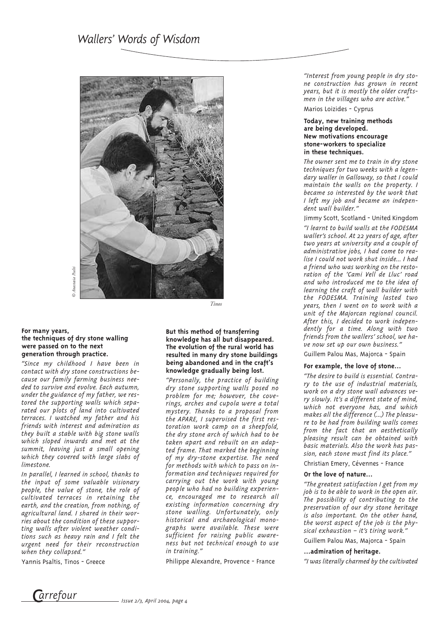

*© Anastasia Psalti* nactacia Pealti

#### **For many years, the techniques of dry stone walling were passed on to the next generation through practice.**

*"Since my childhood I have been in contact with dry stone constructions because our family farming business needed to survive and evolve. Each autumn, under the guidance of my father, we restored the supporting walls which separated our plots of land into cultivated terraces. I watched my father and his friends with interest and admiration as they built a stable with big stone walls which sloped inwards and met at the summit, leaving just a small opening which they covered with large slabs of limestone.* 

*In parallel, I learned in school, thanks to the input of some valuable visionary people, the value of stone, the role of cultivated terraces in retaining the earth, and the creation, from nothing, of agricultural land. I shared in their worries about the condition of these supporting walls after violent weather conditions such as heavy rain and I felt the urgent need for their reconstruction when they collapsed."*

Yannis Psaltis, Tinos - Greece

#### **But this method of transferring knowledge has all but disappeared. The evolution of the rural world has resulted in many dry stone buildings being abandoned and in the craft's knowledge gradually being lost.**

*Tinos*

*"Personally, the practice of building dry stone supporting walls posed no problem for me; however, the coverings, arches and cupola were a total mystery. Thanks to a proposal from the APARE, I supervised the first restoration work camp on a sheepfold, the dry stone arch of which had to be taken apart and rebuilt on an adapted frame. That marked the beginning of my dry-stone expertise. The need for methods with which to pass on information and techniques required for carrying out the work with young people who had no building experience, encouraged me to research all existing information concerning dry stone walling. Unfortunately, only historical and archaeological monographs were available. These were sufficient for raising public awareness but not technical enough to use in training."* 

Philippe Alexandre, Provence - France

*"Interest from young people in dry stone construction has grown in recent years, but it is mostly the older craftsmen in the villages who are active."*

Marios Loizides - Cyprus

#### **Today, new training methods are being developed. New motivations encourage stone-workers to specialize in these techniques.**

*The owner sent me to train in dry stone techniques for two weeks with a legendary waller in Galloway, so that I could maintain the walls on the property. I became so interested by the work that I left my job and became an independent wall builder."*

Jimmy Scott, Scotland - United Kingdom

*"I learnt to build walls at the FODESMA waller's school. At 22 years of age, after two years at university and a couple of administrative jobs, I had come to realise I could not work shut inside… I had a friend who was working on the restoration of the 'Cami Vell de Lluc' road and who introduced me to the idea of learning the craft of wall builder with the FODESMA. Training lasted two years, then I went on to work with a unit of the Majorcan regional council. After this, I decided to work independently for a time. Along with two friends from the wallers' school, we have now set up our own business."*

Guillem Palou Mas, Majorca - Spain

#### **For example, the love of stone…**

*"The desire to build is essential. Contrary to the use of industrial materials, work on a dry stone wall advances very slowly. It's a different state of mind, which not everyone has, and which makes all the difference (…) The pleasure to be had from building walls comes from the fact that an aesthetically pleasing result can be obtained with basic materials. Also the work has passion, each stone must find its place."*

Christian Emery, Cévennes - France

#### **Or the love of nature…**

*"The greatest satisfaction I get from my job is to be able to work in the open air. The possibility of contributing to the preservation of our dry stone heritage is also important. On the other hand, the worst aspect of the job is the physical exhaustion – it's tiring work."*

Guillem Palou Mas, Majorca - Spain

#### **…admiration of heritage.**

*"I was literally charmed by the cultivated*

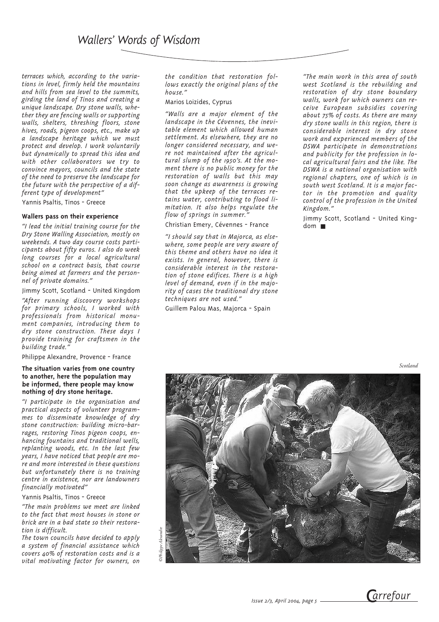*terraces which, according to the variations in level, firmly held the mountains and hills from sea level to the summits, girding the land of Tinos and creating a unique landscape. Dry stone walls, whether they are fencing walls or supporting walls, shelters, threshing floors, stone hives, roads, pigeon coops, etc., make up a landscape heritage which we must protect and develop. I work voluntarily but dynamically to spread this idea and with other collaborators we try to convince mayors, councils and the state of the need to preserve the landscape for the future with the perspective of a different type of development"*

Yannis Psaltis, Tinos - Greece

#### **Wallers pass on their experience**

*"I lead the initial training course for the Dry Stone Walling Association, mostly on weekends. A two day course costs participants about fifty euros. I also do week long courses for a local agricultural school on a contract basis, that course being aimed at farmers and the personnel of private domains."*

Jimmy Scott, Scotland - United Kingdom

*"After running discovery workshops for primary schools, I worked with professionals from historical monument companies, introducing them to dry stone construction. These days I provide training for craftsmen in the building trade."*

Philippe Alexandre, Provence - France

#### **The situation varies from one country to another, here the population may be informed, there people may know nothing of dry stone heritage.**

*"I participate in the organisation and practical aspects of volunteer programmes to disseminate knowledge of dry stone construction: building micro-barrages, restoring Tinos pigeon coops, enhancing fountains and traditional wells, replanting woods, etc. In the last few years, I have noticed that people are more and more interested in these questions but unfortunately there is no training centre in existence, nor are landowners financially motivated"*

#### Yannis Psaltis, Tinos - Greece

*"The main problems we meet are linked to the fact that most houses in stone or brick are in a bad state so their restoration is difficult.*

*The town councils have decided to apply a system of financial assistance which covers 40% of restoration costs and is a vital motivating factor for owners, on* *the condition that restoration follows exactly the original plans of the house."*

Marios Loizides, Cyprus

*"Walls are a major element of the landscape in the Cévennes, the inevitable element which allowed human settlement. As elsewhere, they are no longer considered necessary, and were not maintained after the agricultural slump of the 1950's. At the moment there is no public money for the restoration of walls but this may soon change as awareness is growing that the upkeep of the terraces retains water, contributing to flood limitation. It also helps regulate the flow of springs in summer."*

Christian Emery, Cévennes - France

*"I should say that in Majorca, as elsewhere, some people are very aware of this theme and others have no idea it exists. In general, however, there is considerable interest in the restoration of stone edifices. There is a high level of demand, even if in the majority of cases the traditional dry stone techniques are not used."*

Guillem Palou Mas, Majorca - Spain

*"The main work in this area of south west Scotland is the rebuilding and restoration of dry stone boundary walls, work for which owners can receive European subsidies covering about 75% of costs. As there are many dry stone walls in this region, there is considerable interest in dry stone work and experienced members of the DSWA participate in demonstrations and publicity for the profession in local agricultural fairs and the like. The DSWA is a national organisation with regional chapters, one of which is in south west Scotland. It is a major factor in the promotion and quality control of the profession in the United Kingdom."*

Jimmy Scott, Scotland - United King $dom$   $\blacksquare$ 

*Scotland*



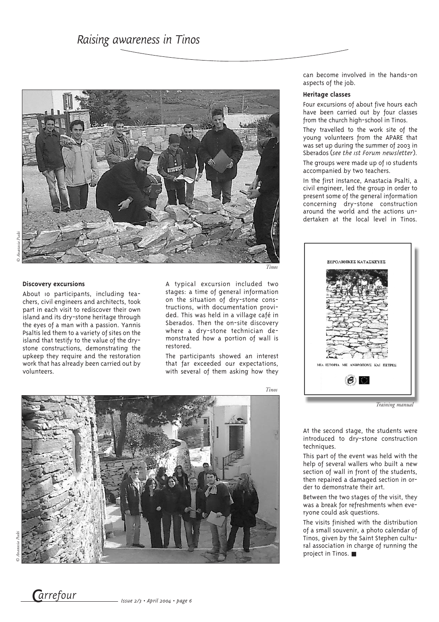

#### **Discovery excursions**

About 10 participants, including teachers, civil engineers and architects, took part in each visit to rediscover their own island and its dry-stone heritage through the eyes of a man with a passion. Yannis Psaltis led them to a variety of sites on the island that testify to the value of the drystone constructions, demonstrating the upkeep they require and the restoration work that has already been carried out by volunteers.

*Tinos*

A typical excursion included two stages: a time of general information on the situation of dry-stone constructions, with documentation provided. This was held in a village café in Sberados. Then the on-site discovery where a dry-stone technician demonstrated how a portion of wall is restored.

The participants showed an interest that far exceeded our expectations, with several of them asking how they

*Tinos*

can become involved in the hands-on aspects of the job.

#### **Heritage classes**

Four excursions of about five hours each have been carried out by four classes from the church high-school in Tinos.

They travelled to the work site of the young volunteers from the APARE that was set up during the summer of 2003 in Sberados (*see the 1st Forum newsletter*).

The groups were made up of 10 students accompanied by two teachers.

In the first instance, Anastacia Psalti, a civil engineer, led the group in order to present some of the general information concerning dry-stone construction around the world and the actions undertaken at the local level in Tinos.



*Training manual*

At the second stage, the students were introduced to dry-stone construction techniques.

This part of the event was held with the help of several wallers who built a new section of wall in front of the students, then repaired a damaged section in order to demonstrate their art.

Between the two stages of the visit, they was a break for refreshments when everyone could ask questions.

The visits finished with the distribution of a small souvenir, a photo calendar of Tinos, given by the Saint Stephen cultural association in charge of running the project in Tinos. ■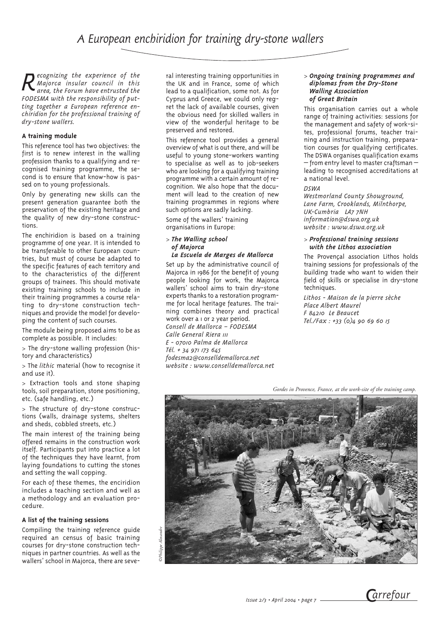*Recognizing the experience of the Majorca insular council in this area, the Forum have entrusted the FODESMA with the responsibility of putting together a European reference enchiridion for the professional training of dry-stone wallers.*

#### **A training module**

This reference tool has two objectives: the first is to renew interest in the walling profession thanks to a qualifying and recognised training programme, the second is to ensure that know-how is passed on to young professionals.

Only by generating new skills can the present generation guarantee both the preservation of the existing heritage and the quality of new dry-stone constructions.

The enchiridion is based on a training programme of one year. It is intended to be transferable to other European countries, but must of course be adapted to the specific features of each territory and to the characteristics of the different groups of trainees. This should motivate existing training schools to include in their training programmes a course relating to dry-stone construction techniques and provide the model for developing the content of such courses.

The module being proposed aims to be as complete as possible. It includes:

> The dry-stone walling profession (history and characteristics)

> The *lithic* material (how to recognise it and use it).

> Extraction tools and stone shaping tools, soil preparation, stone positioning, etc. (safe handling, etc.)

> The structure of dry-stone constructions (walls, drainage systems, shelters and sheds, cobbled streets, etc.)

The main interest of the training being offered remains in the construction work itself. Participants put into practice a lot of the techniques they have learnt, from laying foundations to cutting the stones and setting the wall copping.

For each of these themes, the enciridion includes a teaching section and well as a methodology and an evaluation procedure.

#### **A list of the training sessions**

Compiling the training reference guide required an census of basic training courses for dry-stone construction techniques in partner countries. As well as the wallers' school in Majorca, there are seve-

ral interesting training opportunities in the UK and in France, some of which lead to a qualification, some not. As for Cyprus and Greece, we could only regret the lack of available courses, given the obvious need for skilled wallers in view of the wonderful heritage to be preserved and restored.

This reference tool provides a general overview of what is out there, and will be useful to young stone-workers wanting to specialise as well as to job-seekers who are looking for a qualifying training programme with a certain amount of recognition. We also hope that the document will lead to the creation of new training programmes in regions where such options are sadly lacking.

Some of the wallers' training organisations in Europe:

#### > *The Walling school of Majorca La Escuela de Marges de Mallorca*

Set up by the administrative council of Majorca in 1986 for the benefit of young people looking for work, the Majorca wallers' school aims to train dry-stone experts thanks to a restoration programme for local heritage features. The training combines theory and practical work over a 1 or 2 year period. *Consell de Mallorca – FODESMA Calle General Riera 111 E - 07010 Palma de Mallorca Tél. + 34 971 173 645 fodesma2@conselldemallorca.net website : www.conselldemallorca.net*

#### > *Ongoing training programmes and diplomas from the Dry-Stone Walling Association of Great Britain*

This organisation carries out a whole range of training activities: sessions for the management and safety of work-sites, professional forums, teacher training and instruction training, preparation courses for qualifying certificates. The DSWA organises qualification exams – from entry level to master craftsman – leading to recognised accreditations at a national level.

#### *DSWA*

*Westmorland County Showground, Lane Farm, Crooklands, Milnthorpe, UK-Cumbria LA7 7NH information@dswa.org.uk website : www.dswa.org.uk*

#### > *Professional training sessions with the Lithos association*

The Provençal association Lithos holds training sessions for professionals of the building trade who want to widen their field of skills or specialise in dry-stone techniques.

*Lithos - Maison de la pierre sèche Place Albert Maurel F 84210 Le Beaucet Tel./Fax : +33 (0)4 90 69 60 15*

*Gordes in Provence, France, at the work-site of the training camp.*